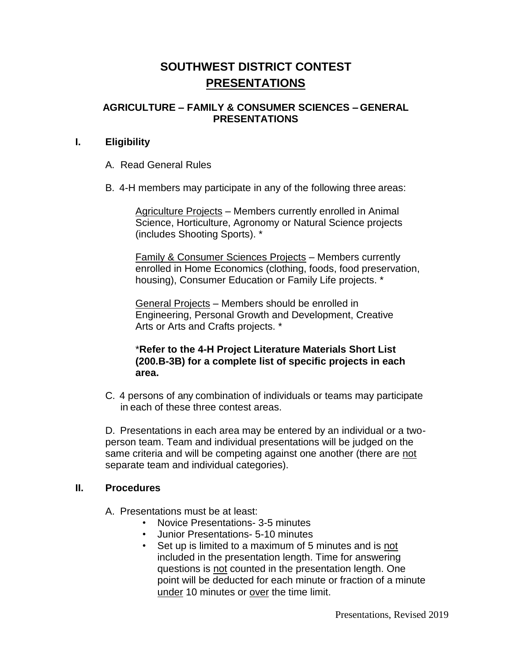# **SOUTHWEST DISTRICT CONTEST PRESENTATIONS**

## **AGRICULTURE – FAMILY & CONSUMER SCIENCES – GENERAL PRESENTATIONS**

### **I. Eligibility**

- A. Read General Rules
- B. 4-H members may participate in any of the following three areas:

Agriculture Projects – Members currently enrolled in Animal Science, Horticulture, Agronomy or Natural Science projects (includes Shooting Sports). \*

Family & Consumer Sciences Projects – Members currently enrolled in Home Economics (clothing, foods, food preservation, housing), Consumer Education or Family Life projects. \*

General Projects – Members should be enrolled in Engineering, Personal Growth and Development, Creative Arts or Arts and Crafts projects. \*

## \***Refer to the 4-H Project Literature Materials Short List (200.B-3B) for a complete list of specific projects in each area.**

C. 4 persons of any combination of individuals or teams may participate in each of these three contest areas.

D. Presentations in each area may be entered by an individual or a twoperson team. Team and individual presentations will be judged on the same criteria and will be competing against one another (there are not separate team and individual categories).

#### **II. Procedures**

A. Presentations must be at least:

- Novice Presentations- 3-5 minutes
- Junior Presentations- 5-10 minutes
- Set up is limited to a maximum of 5 minutes and is not included in the presentation length. Time for answering questions is not counted in the presentation length. One point will be deducted for each minute or fraction of a minute under 10 minutes or over the time limit.